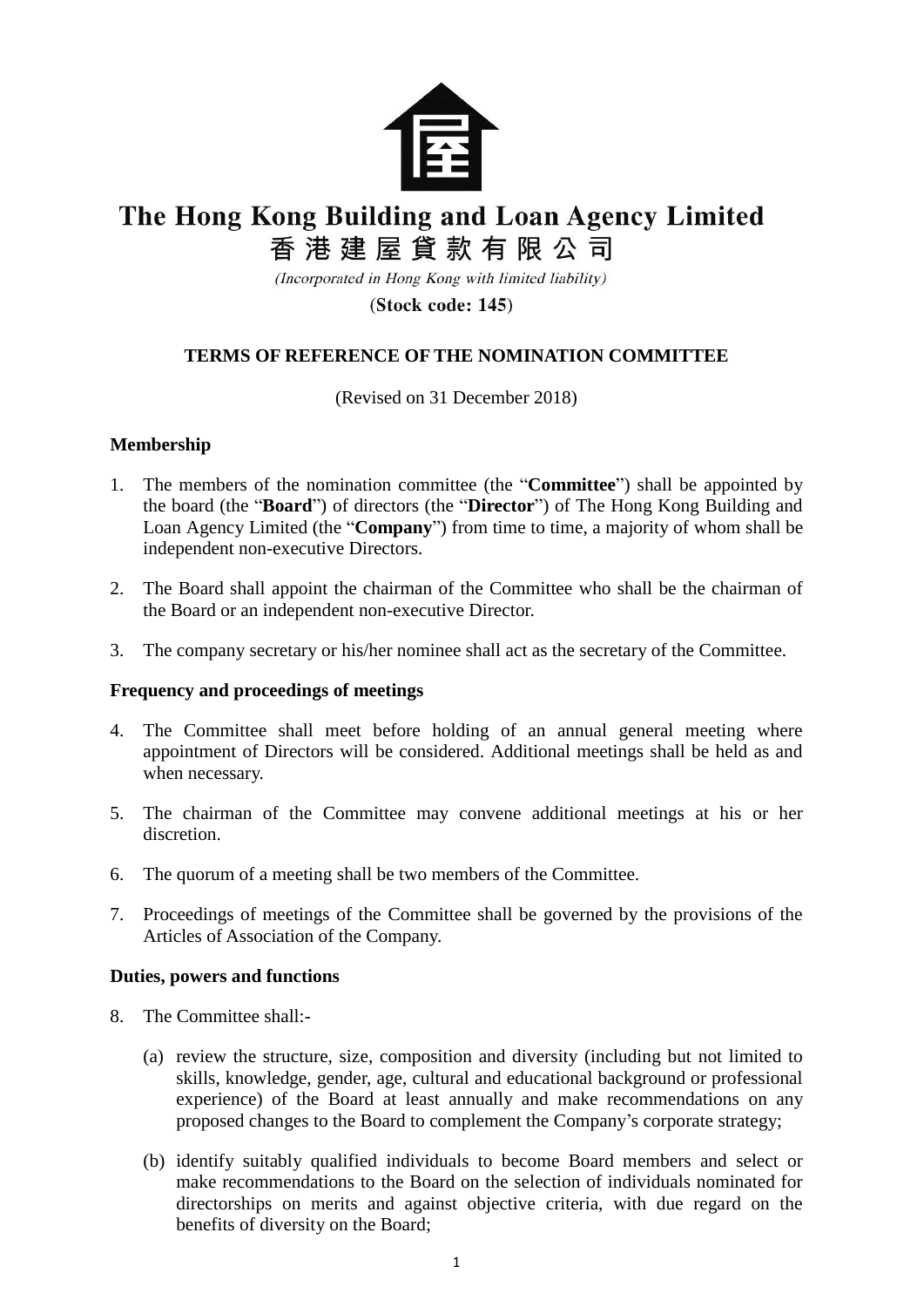

# The Hong Kong Building and Loan Agency Limited

香港建屋貸款有限公司

(Incorporated in Hong Kong with limited liability)

 $(Stock code: 145)$ 

## **TERMS OF REFERENCE OF THE NOMINATION COMMITTEE**

(Revised on 31 December 2018)

#### **Membership**

- 1. The members of the nomination committee (the "**Committee**") shall be appointed by the board (the "**Board**") of directors (the "**Director**") of The Hong Kong Building and Loan Agency Limited (the "**Company**") from time to time, a majority of whom shall be independent non-executive Directors.
- 2. The Board shall appoint the chairman of the Committee who shall be the chairman of the Board or an independent non-executive Director.
- 3. The company secretary or his/her nominee shall act as the secretary of the Committee.

### **Frequency and proceedings of meetings**

- 4. The Committee shall meet before holding of an annual general meeting where appointment of Directors will be considered. Additional meetings shall be held as and when necessary.
- 5. The chairman of the Committee may convene additional meetings at his or her discretion.
- 6. The quorum of a meeting shall be two members of the Committee.
- 7. Proceedings of meetings of the Committee shall be governed by the provisions of the Articles of Association of the Company.

#### **Duties, powers and functions**

- 8. The Committee shall:-
	- (a) review the structure, size, composition and diversity (including but not limited to skills, knowledge, gender, age, cultural and educational background or professional experience) of the Board at least annually and make recommendations on any proposed changes to the Board to complement the Company's corporate strategy;
	- (b) identify suitably qualified individuals to become Board members and select or make recommendations to the Board on the selection of individuals nominated for directorships on merits and against objective criteria, with due regard on the benefits of diversity on the Board;